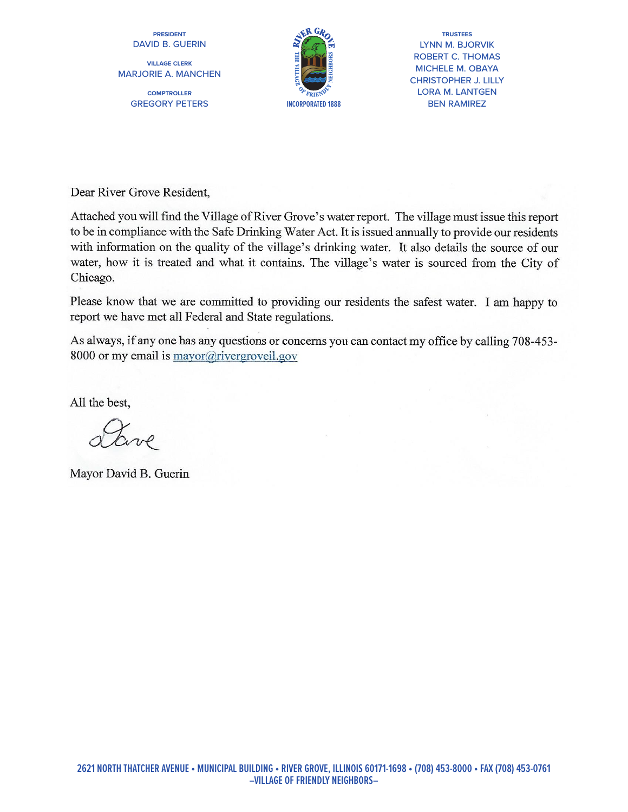**PRESIDENT** DAVID B. GUERIN

**VILLAGE CLERK** MARJORIE A. MANCHEN

> **COMPTROLLER** GREGORY PETERS



**TRUSTEES TRUSTEES**LYNN M. BJORVIK LYNN M. BJORVIK<br>ROBERT C. THOMAS MICHELE M. OBAYA CHRISTOPHER J. LILLY LORA M. LANTGEN BEN RAMIREZ

Dear River Grove Resident.

Attached you will find the Village of River Grove's water report. The village must issue this report to be in compliance with the Safe Drinking Water Act. It is issued annually to provide our residents with information on the quality of the village's drinking water. It also details the source of our water, how it is treated and what it contains. The village's water is sourced from the City of Chicago.

Please know that we are committed to providing our residents the safest water. I am happy to report we have met all Federal and State regulations.

As always, if any one has any questions or concerns you can contact my office by calling 708-453-8000 or my email is mayor@rivergroveil.gov

All the best.

Mayor David B. Guerin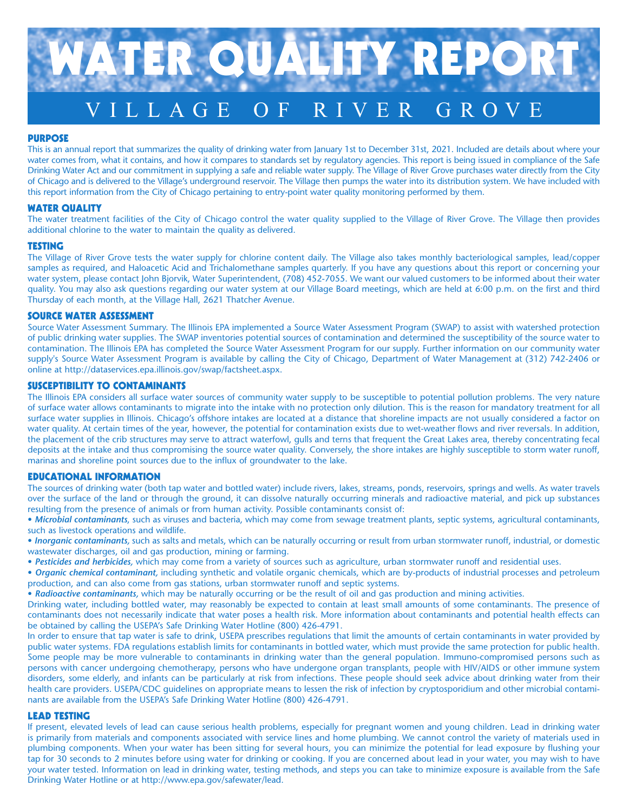

## PURPOSE

This is an annual report that summarizes the quality of drinking water from January 1st to December 31st, 2021. Included are details about where your water comes from, what it contains, and how it compares to standards set by regulatory agencies. This report is being issued in compliance of the Safe Drinking Water Act and our commitment in supplying a safe and reliable water supply. The Village of River Grove purchases water directly from the City of Chicago and is delivered to the Village's underground reservoir. The Village then pumps the water into its distribution system. We have included with this report information from the City of Chicago pertaining to entry-point water quality monitoring performed by them.

## WATER QUALITY

The water treatment facilities of the City of Chicago control the water quality supplied to the Village of River Grove. The Village then provides additional chlorine to the water to maintain the quality as delivered.

## TESTING

The Village of River Grove tests the water supply for chlorine content daily. The Village also takes monthly bacteriological samples, lead/copper samples as required, and Haloacetic Acid and Trichalomethane samples quarterly. If you have any questions about this report or concerning your water system, please contact John Bjorvik, Water Superintendent, (708) 452-7055. We want our valued customers to be informed about their water quality. You may also ask questions regarding our water system at our Village Board meetings, which are held at 6:00 p.m. on the first and third Thursday of each month, at the Village Hall, 2621 Thatcher Avenue.

## SOURCE WATER ASSESSMENT

Source Water Assessment Summary. The Illinois EPA implemented a Source Water Assessment Program (SWAP) to assist with watershed protection of public drinking water supplies. The SWAP inventories potential sources of contamination and determined the susceptibility of the source water to contamination. The Illinois EPA has completed the Source Water Assessment Program for our supply. Further information on our community water supply's Source Water Assessment Program is available by calling the City of Chicago, Department of Water Management at (312) 742-2406 or online at http://dataservices.epa.illinois.gov/swap/factsheet.aspx.

## SUSCEPTIBILITY TO CONTAMINANTS

The Illinois EPA considers all surface water sources of community water supply to be susceptible to potential pollution problems. The very nature of surface water allows contaminants to migrate into the intake with no protection only dilution. This is the reason for mandatory treatment for all surface water supplies in Illinois. Chicago's offshore intakes are located at a distance that shoreline impacts are not usually considered a factor on water quality. At certain times of the year, however, the potential for contamination exists due to wet-weather flows and river reversals. In addition, the placement of the crib structures may serve to attract waterfowl, gulls and terns that frequent the Great Lakes area, thereby concentrating fecal deposits at the intake and thus compromising the source water quality. Conversely, the shore intakes are highly susceptible to storm water runoff, marinas and shoreline point sources due to the influx of groundwater to the lake.

# EDUCATIONAL INFORMATION

The sources of drinking water (both tap water and bottled water) include rivers, lakes, streams, ponds, reservoirs, springs and wells. As water travels over the surface of the land or through the ground, it can dissolve naturally occurring minerals and radioactive material, and pick up substances resulting from the presence of animals or from human activity. Possible contaminants consist of:

• *Microbial contaminants*, such as viruses and bacteria, which may come from sewage treatment plants, septic systems, agricultural contaminants, such as livestock operations and wildlife.

• *Inorganic contaminants,* such as salts and metals, which can be naturally occurring or result from urban stormwater runoff, industrial, or domestic wastewater discharges, oil and gas production, mining or farming.

• *Pesticides and herbicides,* which may come from a variety of sources such as agriculture, urban stormwater runoff and residential uses.

• *Organic chemical contaminant,* including synthetic and volatile organic chemicals, which are by-products of industrial processes and petroleum production, and can also come from gas stations, urban stormwater runoff and septic systems.

• *Radioactive contaminants,* which may be naturally occurring or be the result of oil and gas production and mining activities.

Drinking water, including bottled water, may reasonably be expected to contain at least small amounts of some contaminants. The presence of contaminants does not necessarily indicate that water poses a health risk. More information about contaminants and potential health effects can be obtained by calling the USEPA's Safe Drinking Water Hotline (800) 426-4791.

In order to ensure that tap water is safe to drink, USEPA prescribes regulations that limit the amounts of certain contaminants in water provided by public water systems. FDA regulations establish limits for contaminants in bottled water, which must provide the same protection for public health. Some people may be more vulnerable to contaminants in drinking water than the general population. Immuno-compromised persons such as persons with cancer undergoing chemotherapy, persons who have undergone organ transplants, people with HIV/AIDS or other immune system disorders, some elderly, and infants can be particularly at risk from infections. These people should seek advice about drinking water from their health care providers. USEPA/CDC guidelines on appropriate means to lessen the risk of infection by cryptosporidium and other microbial contaminants are available from the USEPA's Safe Drinking Water Hotline (800) 426-4791.

## LEAD TESTING

If present, elevated levels of lead can cause serious health problems, especially for pregnant women and young children. Lead in drinking water is primarily from materials and components associated with service lines and home plumbing. We cannot control the variety of materials used in plumbing components. When your water has been sitting for several hours, you can minimize the potential for lead exposure by flushing your tap for 30 seconds to 2 minutes before using water for drinking or cooking. If you are concerned about lead in your water, you may wish to have your water tested. Information on lead in drinking water, testing methods, and steps you can take to minimize exposure is available from the Safe Drinking Water Hotline or at http://www.epa.gov/safewater/lead.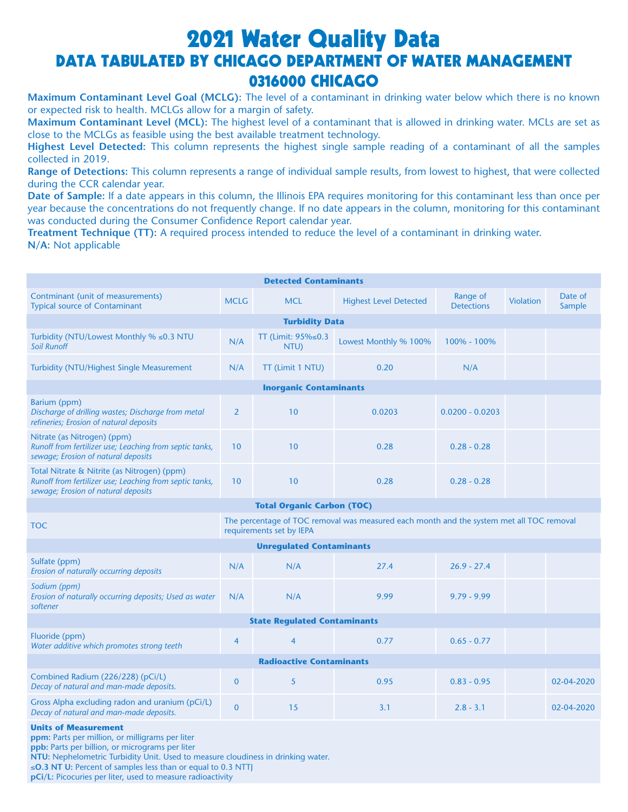# 2021 Water Quality Data DATA TABULATED BY CHICAGO DEPARTMENT OF WATER MANAGEMENT 0316000 CHICAGO

**Maximum Contaminant Level Goal (MCLG):** The level of a contaminant in drinking water below which there is no known or expected risk to health. MCLGs allow for a margin of safety.

**Maximum Contaminant Level (MCL):** The highest level of a contaminant that is allowed in drinking water. MCLs are set as close to the MCLGs as feasible using the best available treatment technology.

**Highest Level Detected:** This column represents the highest single sample reading of a contaminant of all the samples collected in 2019.

**Range of Detections:** This column represents a range of individual sample results, from lowest to highest, that were collected during the CCR calendar year.

**Date of Sample:** If a date appears in this column, the Illinois EPA requires monitoring for this contaminant less than once per year because the concentrations do not frequently change. If no date appears in the column, monitoring for this contaminant was conducted during the Consumer Confidence Report calendar year.

**Treatment Technique (TT):** A required process intended to reduce the level of a contaminant in drinking water. **N/A:** Not applicable

| <b>Detected Contaminants</b>                                                                                                                  |                |                               |                               |                               |                  |                   |  |  |  |
|-----------------------------------------------------------------------------------------------------------------------------------------------|----------------|-------------------------------|-------------------------------|-------------------------------|------------------|-------------------|--|--|--|
| Contminant (unit of measurements)<br><b>Typical source of Contaminant</b>                                                                     | <b>MCLG</b>    | <b>MCL</b>                    | <b>Highest Level Detected</b> | Range of<br><b>Detections</b> | <b>Violation</b> | Date of<br>Sample |  |  |  |
| <b>Turbidity Data</b>                                                                                                                         |                |                               |                               |                               |                  |                   |  |  |  |
| Turbidity (NTU/Lowest Monthly % ≤0.3 NTU<br><b>Soil Runoff</b>                                                                                | N/A            | TT (Limit: 95%≤0.3<br>NTU)    | Lowest Monthly % 100%         | 100% - 100%                   |                  |                   |  |  |  |
| <b>Turbidity (NTU/Highest Single Measurement</b>                                                                                              | N/A            | TT (Limit 1 NTU)              | 0.20                          | N/A                           |                  |                   |  |  |  |
|                                                                                                                                               |                | <b>Inorganic Contaminants</b> |                               |                               |                  |                   |  |  |  |
| Barium (ppm)<br>Discharge of drilling wastes; Discharge from metal<br>refineries; Erosion of natural deposits                                 | $\overline{2}$ | 10                            | 0.0203                        | $0.0200 - 0.0203$             |                  |                   |  |  |  |
| Nitrate (as Nitrogen) (ppm)<br>Runoff from fertilizer use; Leaching from septic tanks,<br>sewage; Erosion of natural deposits                 | 10             | 10                            | 0.28                          | $0.28 - 0.28$                 |                  |                   |  |  |  |
| Total Nitrate & Nitrite (as Nitrogen) (ppm)<br>Runoff from fertilizer use; Leaching from septic tanks,<br>sewage; Erosion of natural deposits | 10             | 10                            | 0.28                          | $0.28 - 0.28$                 |                  |                   |  |  |  |
| <b>Total Organic Carbon (TOC)</b>                                                                                                             |                |                               |                               |                               |                  |                   |  |  |  |
| The percentage of TOC removal was measured each month and the system met all TOC removal<br><b>TOC</b><br>requirements set by IEPA            |                |                               |                               |                               |                  |                   |  |  |  |
| <b>Unregulated Contaminants</b>                                                                                                               |                |                               |                               |                               |                  |                   |  |  |  |
| Sulfate (ppm)<br>Erosion of naturally occurring deposits                                                                                      | N/A            | N/A                           | 27.4                          | $26.9 - 27.4$                 |                  |                   |  |  |  |
| Sodium (ppm)<br>Erosion of naturally occurring deposits; Used as water<br>softener                                                            | N/A            | N/A                           | 9.99                          | $9.79 - 9.99$                 |                  |                   |  |  |  |
| <b>State Regulated Contaminants</b>                                                                                                           |                |                               |                               |                               |                  |                   |  |  |  |
| Fluoride (ppm)<br>Water additive which promotes strong teeth                                                                                  | $\overline{4}$ | $\overline{4}$                | 0.77                          | $0.65 - 0.77$                 |                  |                   |  |  |  |
| <b>Radioactive Contaminants</b>                                                                                                               |                |                               |                               |                               |                  |                   |  |  |  |
| Combined Radium (226/228) (pCi/L)<br>Decay of natural and man-made deposits.                                                                  | $\mathbf{0}$   | 5                             | 0.95                          | $0.83 - 0.95$                 |                  | 02-04-2020        |  |  |  |
| Gross Alpha excluding radon and uranium (pCi/L)<br>Decay of natural and man-made deposits.                                                    | $\mathbf{0}$   | 15                            | 3.1                           | $2.8 - 3.1$                   |                  | 02-04-2020        |  |  |  |
| 医眼镜 医动脉 医心脏 医神经炎                                                                                                                              |                |                               |                               |                               |                  |                   |  |  |  |

**Units of Measurement**

**ppm:** Parts per million, or milligrams per liter

**ppb:** Parts per billion, or micrograms per liter

**NTU:** Nephelometric Turbidity Unit. Used to measure cloudiness in drinking water.

≤**O.3 NT U:** Percent of samples less than or equal to 0.3 NTTJ

**pCi/L:** Picocuries per liter, used to measure radioactivity